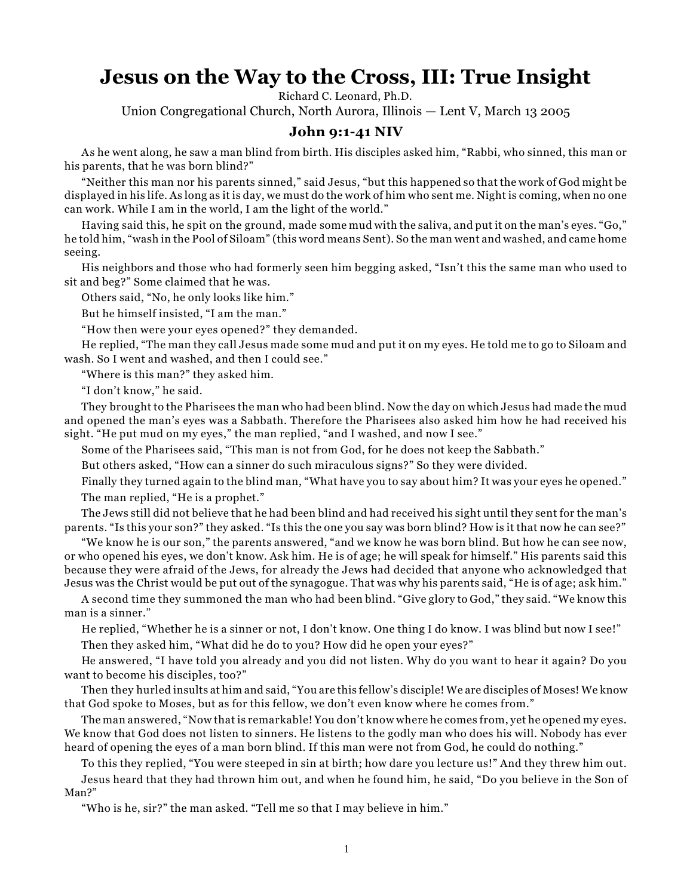## **Jesus on the Way to the Cross, III: True Insight**

Richard C. Leonard, Ph.D.

Union Congregational Church, North Aurora, Illinois — Lent V, March 13 2005

## **John 9:1-41 NIV**

As he went along, he saw a man blind from birth. His disciples asked him, "Rabbi, who sinned, this man or his parents, that he was born blind?"

"Neither this man nor his parents sinned," said Jesus, "but this happened so that the work of God might be displayed in his life. As long as it is day, we must do the work of him who sent me. Night is coming, when no one can work. While I am in the world, I am the light of the world."

Having said this, he spit on the ground, made some mud with the saliva, and put it on the man's eyes. "Go," he told him, "wash in the Pool of Siloam" (this word means Sent). So the man went and washed, and came home seeing.

His neighbors and those who had formerly seen him begging asked, "Isn't this the same man who used to sit and beg?" Some claimed that he was.

Others said, "No, he only looks like him."

But he himself insisted, "I am the man."

"How then were your eyes opened?" they demanded.

He replied, "The man they call Jesus made some mud and put it on my eyes. He told me to go to Siloam and wash. So I went and washed, and then I could see."

"Where is this man?" they asked him.

"I don't know," he said.

They brought to the Pharisees the man who had been blind. Now the day on which Jesus had made the mud and opened the man's eyes was a Sabbath. Therefore the Pharisees also asked him how he had received his sight. "He put mud on my eyes," the man replied, "and I washed, and now I see."

Some of the Pharisees said, "This man is not from God, for he does not keep the Sabbath."

But others asked, "How can a sinner do such miraculous signs?" So they were divided.

Finally they turned again to the blind man, "What have you to say about him? It was your eyes he opened." The man replied, "He is a prophet."

The Jews still did not believe that he had been blind and had received his sight until they sent for the man's parents. "Is this your son?" they asked. "Is this the one you say was born blind? How is it that now he can see?"

"We know he is our son," the parents answered, "and we know he was born blind. But how he can see now, or who opened his eyes, we don't know. Ask him. He is of age; he will speak for himself." His parents said this because they were afraid of the Jews, for already the Jews had decided that anyone who acknowledged that Jesus was the Christ would be put out of the synagogue. That was why his parents said, "He is of age; ask him."

A second time they summoned the man who had been blind. "Give glory to God," they said. "We know this man is a sinner."

He replied, "Whether he is a sinner or not, I don't know. One thing I do know. I was blind but now I see!" Then they asked him, "What did he do to you? How did he open your eyes?"

He answered, "I have told you already and you did not listen. Why do you want to hear it again? Do you want to become his disciples, too?"

Then they hurled insults at him and said, "You are this fellow's disciple! We are disciples of Moses! We know that God spoke to Moses, but as for this fellow, we don't even know where he comes from."

The man answered, "Now that is remarkable! You don't know where he comes from, yet he opened my eyes. We know that God does not listen to sinners. He listens to the godly man who does his will. Nobody has ever heard of opening the eyes of a man born blind. If this man were not from God, he could do nothing."

To this they replied, "You were steeped in sin at birth; how dare you lecture us!" And they threw him out. Jesus heard that they had thrown him out, and when he found him, he said, "Do you believe in the Son of Man?"

"Who is he, sir?" the man asked. "Tell me so that I may believe in him."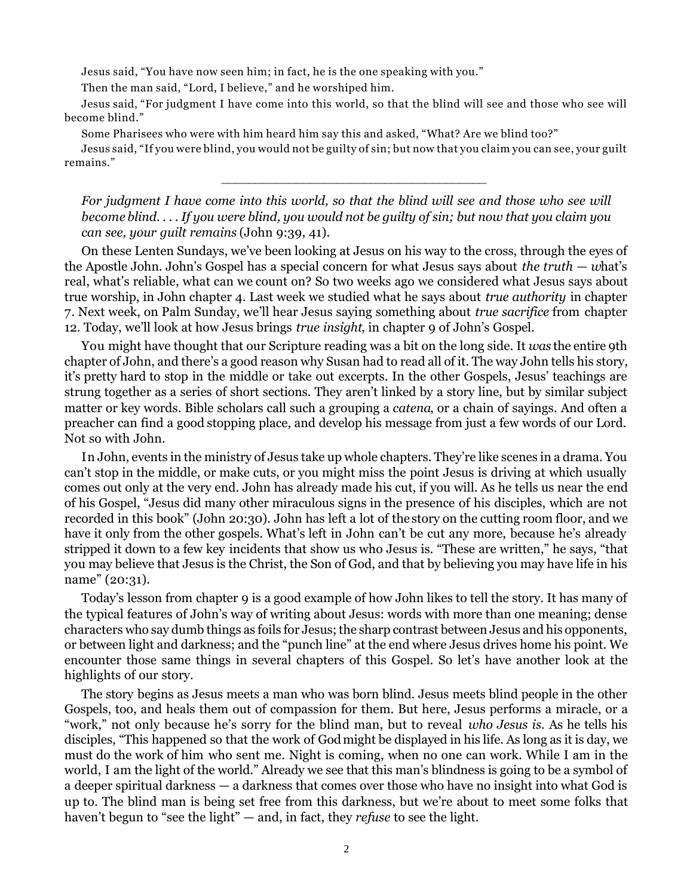Jesus said, "You have now seen him; in fact, he is the one speaking with you."

Then the man said, "Lord, I believe," and he worshiped him.

Jesus said, "For judgment I have come into this world, so that the blind will see and those who see will become blind."

Some Pharisees who were with him heard him say this and asked, "What? Are we blind too?" Jesus said, "If you were blind, you would not be guilty of sin; but now that you claim you can see, your guilt remains."

\_\_\_\_\_\_\_\_\_\_\_\_\_\_\_\_\_\_\_\_\_\_\_\_\_\_\_\_\_\_\_\_\_\_\_\_\_\_\_

*For judgment I have come into this world, so that the blind will see and those who see will become blind. . . . If you were blind, you would not be guilty of sin; but now that you claim you can see, your guilt remains* (John 9:39, 41).

On these Lenten Sundays, we've been looking at Jesus on his way to the cross, through the eyes of the Apostle John. John's Gospel has a special concern for what Jesus says about *the truth — w*hat's real, what's reliable, what can we count on? So two weeks ago we considered what Jesus says about true worship, in John chapter 4. Last week we studied what he says about *true authority* in chapter 7. Next week, on Palm Sunday, we'll hear Jesus saying something about *true sacrifice* from chapter 12. Today, we'll look at how Jesus brings *true insight*, in chapter 9 of John's Gospel.

You might have thought that our Scripture reading was a bit on the long side. It *was* the entire 9th chapter of John, and there's a good reason why Susan had to read all of it. The way John tells his story, it's pretty hard to stop in the middle or take out excerpts. In the other Gospels, Jesus' teachings are strung together as a series of short sections. They aren't linked by a story line, but by similar subject matter or key words. Bible scholars call such a grouping a *catena*, or a chain of sayings. And often a preacher can find a good stopping place, and develop his message from just a few words of our Lord. Not so with John.

In John, events in the ministry of Jesus take up whole chapters. They're like scenes in a drama. You can't stop in the middle, or make cuts, or you might miss the point Jesus is driving at which usually comes out only at the very end. John has already made his cut, if you will. As he tells us near the end of his Gospel, "Jesus did many other miraculous signs in the presence of his disciples, which are not recorded in this book" (John 20:30). John has left a lot of the story on the cutting room floor, and we have it only from the other gospels. What's left in John can't be cut any more, because he's already stripped it down to a few key incidents that show us who Jesus is. "These are written," he says, "that you may believe that Jesus is the Christ, the Son of God, and that by believing you may have life in his name" (20:31).

Today's lesson from chapter 9 is a good example of how John likes to tell the story. It has many of the typical features of John's way of writing about Jesus: words with more than one meaning; dense characters who say dumb things as foils for Jesus; the sharp contrast between Jesus and his opponents, or between light and darkness; and the "punch line" at the end where Jesus drives home his point. We encounter those same things in several chapters of this Gospel. So let's have another look at the highlights of our story.

The story begins as Jesus meets a man who was born blind. Jesus meets blind people in the other Gospels, too, and heals them out of compassion for them. But here, Jesus performs a miracle, or a "work," not only because he's sorry for the blind man, but to reveal *who Jesus is.* As he tells his disciples, "This happened so that the work of God might be displayed in his life. As long as it is day, we must do the work of him who sent me. Night is coming, when no one can work. While I am in the world, I am the light of the world." Already we see that this man's blindness is going to be a symbol of a deeper spiritual darkness — a darkness that comes over those who have no insight into what God is up to. The blind man is being set free from this darkness, but we're about to meet some folks that haven't begun to "see the light" — and, in fact, they *refuse* to see the light.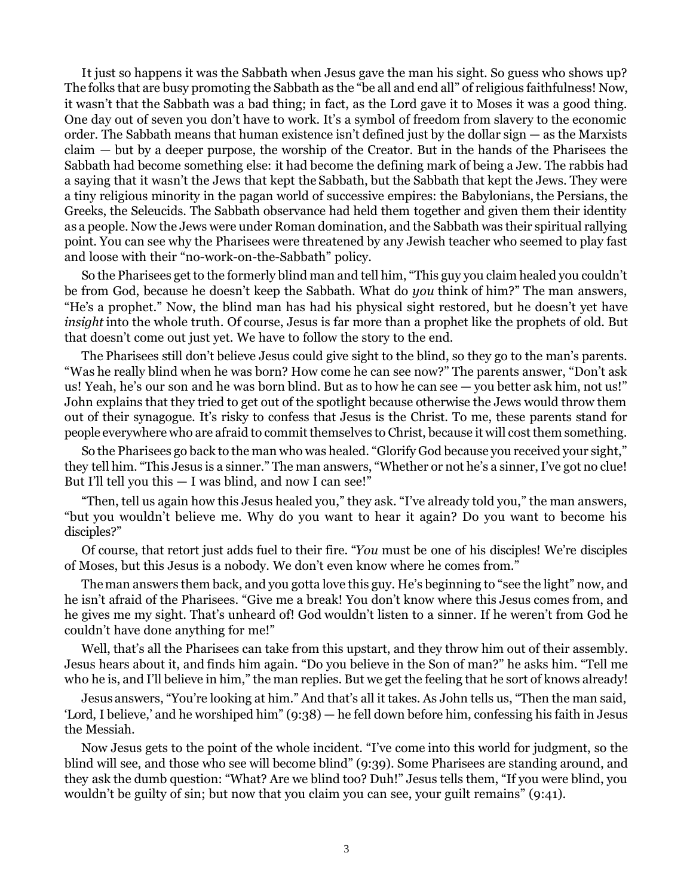It just so happens it was the Sabbath when Jesus gave the man his sight. So guess who shows up? The folks that are busy promoting the Sabbath as the "be all and end all" of religious faithfulness! Now, it wasn't that the Sabbath was a bad thing; in fact, as the Lord gave it to Moses it was a good thing. One day out of seven you don't have to work. It's a symbol of freedom from slavery to the economic order. The Sabbath means that human existence isn't defined just by the dollar sign — as the Marxists claim — but by a deeper purpose, the worship of the Creator. But in the hands of the Pharisees the Sabbath had become something else: it had become the defining mark of being a Jew. The rabbis had a saying that it wasn't the Jews that kept the Sabbath, but the Sabbath that kept the Jews. They were a tiny religious minority in the pagan world of successive empires: the Babylonians, the Persians, the Greeks, the Seleucids. The Sabbath observance had held them together and given them their identity as a people. Now the Jews were under Roman domination, and the Sabbath was their spiritual rallying point. You can see why the Pharisees were threatened by any Jewish teacher who seemed to play fast and loose with their "no-work-on-the-Sabbath" policy.

So the Pharisees get to the formerly blind man and tell him, "This guy you claim healed you couldn't be from God, because he doesn't keep the Sabbath. What do *you* think of him?" The man answers, "He's a prophet." Now, the blind man has had his physical sight restored, but he doesn't yet have *insight* into the whole truth. Of course, Jesus is far more than a prophet like the prophets of old. But that doesn't come out just yet. We have to follow the story to the end.

The Pharisees still don't believe Jesus could give sight to the blind, so they go to the man's parents. "Was he really blind when he was born? How come he can see now?" The parents answer, "Don't ask us! Yeah, he's our son and he was born blind. But as to how he can see — you better ask him, not us!" John explains that they tried to get out of the spotlight because otherwise the Jews would throw them out of their synagogue. It's risky to confess that Jesus is the Christ. To me, these parents stand for people everywhere who are afraid to commit themselves to Christ, because it will cost them something.

So the Pharisees go back to the man who was healed. "Glorify God because you received your sight," they tell him. "This Jesus is a sinner." The man answers, "Whether or not he's a sinner, I've got no clue! But I'll tell you this  $-$  I was blind, and now I can see!"

"Then, tell us again how this Jesus healed you," they ask. "I've already told you," the man answers, "but you wouldn't believe me. Why do you want to hear it again? Do you want to become his disciples?"

Of course, that retort just adds fuel to their fire. "*You* must be one of his disciples! We're disciples of Moses, but this Jesus is a nobody. We don't even know where he comes from."

The man answers them back, and you gotta love this guy. He's beginning to "see the light" now, and he isn't afraid of the Pharisees. "Give me a break! You don't know where this Jesus comes from, and he gives me my sight. That's unheard of! God wouldn't listen to a sinner. If he weren't from God he couldn't have done anything for me!"

Well, that's all the Pharisees can take from this upstart, and they throw him out of their assembly. Jesus hears about it, and finds him again. "Do you believe in the Son of man?" he asks him. "Tell me who he is, and I'll believe in him," the man replies. But we get the feeling that he sort of knows already!

Jesus answers, "You're looking at him." And that's all it takes. As John tells us, "Then the man said, 'Lord, I believe,' and he worshiped him" (9:38) — he fell down before him, confessing his faith in Jesus the Messiah.

Now Jesus gets to the point of the whole incident. "I've come into this world for judgment, so the blind will see, and those who see will become blind" (9:39). Some Pharisees are standing around, and they ask the dumb question: "What? Are we blind too? Duh!" Jesus tells them, "If you were blind, you wouldn't be guilty of sin; but now that you claim you can see, your guilt remains" (9:41).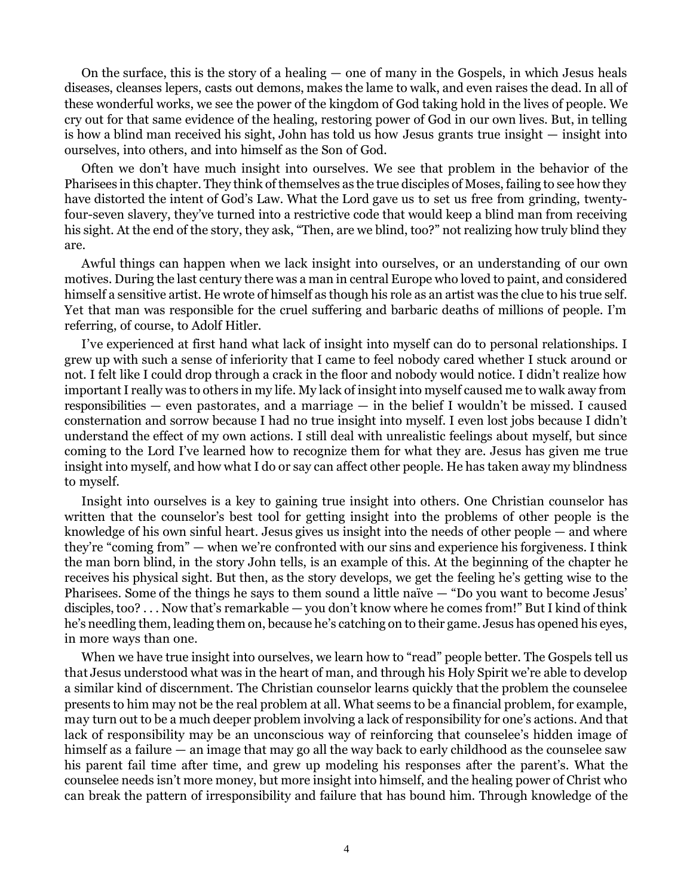On the surface, this is the story of a healing — one of many in the Gospels, in which Jesus heals diseases, cleanses lepers, casts out demons, makes the lame to walk, and even raises the dead. In all of these wonderful works, we see the power of the kingdom of God taking hold in the lives of people. We cry out for that same evidence of the healing, restoring power of God in our own lives. But, in telling is how a blind man received his sight, John has told us how Jesus grants true insight — insight into ourselves, into others, and into himself as the Son of God.

Often we don't have much insight into ourselves. We see that problem in the behavior of the Pharisees in this chapter. They think of themselves as the true disciples of Moses, failing to see how they have distorted the intent of God's Law. What the Lord gave us to set us free from grinding, twentyfour-seven slavery, they've turned into a restrictive code that would keep a blind man from receiving his sight. At the end of the story, they ask, "Then, are we blind, too?" not realizing how truly blind they are.

Awful things can happen when we lack insight into ourselves, or an understanding of our own motives. During the last century there was a man in central Europe who loved to paint, and considered himself a sensitive artist. He wrote of himself as though his role as an artist was the clue to his true self. Yet that man was responsible for the cruel suffering and barbaric deaths of millions of people. I'm referring, of course, to Adolf Hitler.

I've experienced at first hand what lack of insight into myself can do to personal relationships. I grew up with such a sense of inferiority that I came to feel nobody cared whether I stuck around or not. I felt like I could drop through a crack in the floor and nobody would notice. I didn't realize how important I really was to others in my life. My lack of insight into myself caused me to walk away from responsibilities  $-$  even pastorates, and a marriage  $-$  in the belief I wouldn't be missed. I caused consternation and sorrow because I had no true insight into myself. I even lost jobs because I didn't understand the effect of my own actions. I still deal with unrealistic feelings about myself, but since coming to the Lord I've learned how to recognize them for what they are. Jesus has given me true insight into myself, and how what I do or say can affect other people. He has taken away my blindness to myself.

Insight into ourselves is a key to gaining true insight into others. One Christian counselor has written that the counselor's best tool for getting insight into the problems of other people is the knowledge of his own sinful heart. Jesus gives us insight into the needs of other people — and where they're "coming from" — when we're confronted with our sins and experience his forgiveness. I think the man born blind, in the story John tells, is an example of this. At the beginning of the chapter he receives his physical sight. But then, as the story develops, we get the feeling he's getting wise to the Pharisees. Some of the things he says to them sound a little naïve — "Do you want to become Jesus' disciples, too? . . . Now that's remarkable — you don't know where he comes from!" But I kind of think he's needling them, leading them on, because he's catching on to their game. Jesus has opened his eyes, in more ways than one.

When we have true insight into ourselves, we learn how to "read" people better. The Gospels tell us that Jesus understood what was in the heart of man, and through his Holy Spirit we're able to develop a similar kind of discernment. The Christian counselor learns quickly that the problem the counselee presents to him may not be the real problem at all. What seems to be a financial problem, for example, may turn out to be a much deeper problem involving a lack of responsibility for one's actions. And that lack of responsibility may be an unconscious way of reinforcing that counselee's hidden image of himself as a failure — an image that may go all the way back to early childhood as the counselee saw his parent fail time after time, and grew up modeling his responses after the parent's. What the counselee needs isn't more money, but more insight into himself, and the healing power of Christ who can break the pattern of irresponsibility and failure that has bound him. Through knowledge of the